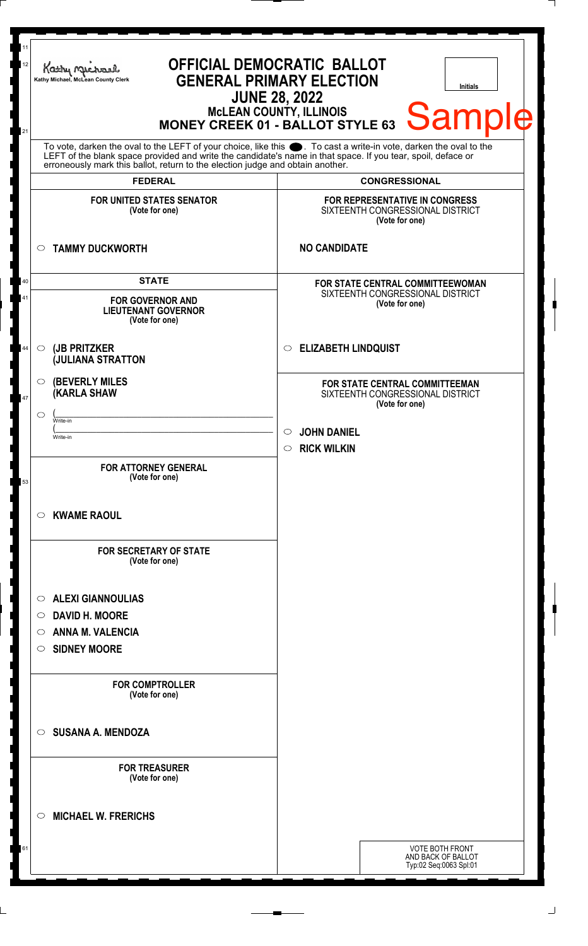| 11<br>12<br>21 | Kathy Michael<br>Kathy Michael, McLean County Clerk<br><b>JUNE 28, 2022</b>                                                                                                                                                                     | <b>OFFICIAL DEMOCRATIC BALLOT</b><br><b>GENERAL PRIMARY ELECTION</b><br><b>Initials</b><br>MCLEAN COUNTY, ILLINOIS<br>MONEY CREEK 01 - BALLOT STYLE 63 Sample |
|----------------|-------------------------------------------------------------------------------------------------------------------------------------------------------------------------------------------------------------------------------------------------|---------------------------------------------------------------------------------------------------------------------------------------------------------------|
|                | To vote, darken the oval to the LEFT of your choice, like this . To cast a write-in vote, darken the oval to the LEFT of the blank space provided and write the candidate's name in that space. If you tear, spoil, deface or<br><b>FEDERAL</b> | <b>CONGRESSIONAL</b>                                                                                                                                          |
|                | <b>FOR UNITED STATES SENATOR</b><br>(Vote for one)                                                                                                                                                                                              | FOR REPRESENTATIVE IN CONGRESS<br>SIXTEENTH CONGRESSIONAL DISTRICT<br>(Vote for one)                                                                          |
|                | <b>TAMMY DUCKWORTH</b>                                                                                                                                                                                                                          | <b>NO CANDIDATE</b>                                                                                                                                           |
| 40<br>41       | <b>STATE</b><br><b>FOR GOVERNOR AND</b><br><b>LIEUTENANT GOVERNOR</b><br>(Vote for one)                                                                                                                                                         | <b>FOR STATE CENTRAL COMMITTEEWOMAN</b><br>SIXTEENTH CONGRESSIONAL DISTRICT<br>(Vote for one)                                                                 |
| 44             | (JB PRITZKER<br>$\circ$<br><b>JULIANA STRATTON</b>                                                                                                                                                                                              | <b>ELIZABETH LINDQUIST</b><br>$\circ$                                                                                                                         |
| 47             | (BEVERLY MILES<br>(KARLA SHAW<br>◯<br>Write-in<br>Write-in                                                                                                                                                                                      | FOR STATE CENTRAL COMMITTEEMAN<br>SIXTEENTH CONGRESSIONAL DISTRICT<br>(Vote for one)<br><b>JOHN DANIEL</b><br>$\circ$                                         |
| 53             | <b>FOR ATTORNEY GENERAL</b><br>(Vote for one)                                                                                                                                                                                                   | <b>RICK WILKIN</b><br>$\circ$                                                                                                                                 |
|                | <b>KWAME RAOUL</b><br>$\circ$<br><b>FOR SECRETARY OF STATE</b><br>(Vote for one)                                                                                                                                                                |                                                                                                                                                               |
|                | <b>ALEXI GIANNOULIAS</b><br>$\circ$<br><b>DAVID H. MOORE</b><br>O<br><b>ANNA M. VALENCIA</b><br>$\circ$<br><b>SIDNEY MOORE</b><br>$\circ$                                                                                                       |                                                                                                                                                               |
|                | <b>FOR COMPTROLLER</b><br>(Vote for one)                                                                                                                                                                                                        |                                                                                                                                                               |
|                | <b>SUSANA A. MENDOZA</b><br>◯                                                                                                                                                                                                                   |                                                                                                                                                               |
|                | <b>FOR TREASURER</b><br>(Vote for one)                                                                                                                                                                                                          |                                                                                                                                                               |
|                | <b>MICHAEL W. FRERICHS</b><br>◯                                                                                                                                                                                                                 |                                                                                                                                                               |
| 61             |                                                                                                                                                                                                                                                 | <b>VOTE BOTH FRONT</b><br>AND BACK OF BALLOT<br>Typ:02 Seq:0063 Spl:01                                                                                        |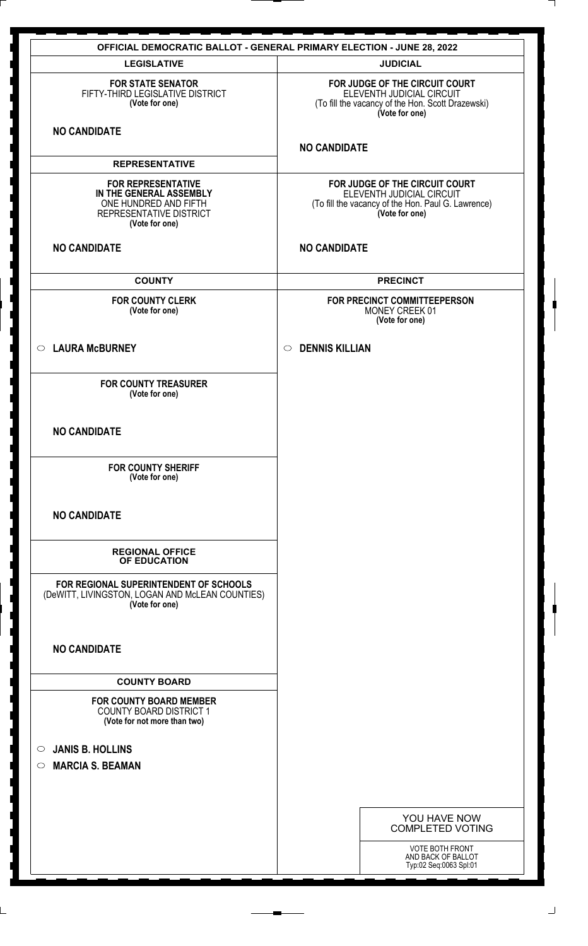|                                                                                                                            | <b>OFFICIAL DEMOCRATIC BALLOT - GENERAL PRIMARY ELECTION - JUNE 28, 2022</b>                                                        |
|----------------------------------------------------------------------------------------------------------------------------|-------------------------------------------------------------------------------------------------------------------------------------|
| <b>LEGISLATIVE</b>                                                                                                         | <b>JUDICIAL</b>                                                                                                                     |
| <b>FOR STATE SENATOR</b><br>FIFTY-THIRD LEGISLATIVE DISTRICT<br>(Vote for one)                                             | FOR JUDGE OF THE CIRCUIT COURT<br>ELEVENTH JUDICIAL CIRCUIT<br>(To fill the vacancy of the Hon. Scott Drazewski)<br>(Vote for one)  |
| <b>NO CANDIDATE</b>                                                                                                        | <b>NO CANDIDATE</b>                                                                                                                 |
| <b>REPRESENTATIVE</b>                                                                                                      |                                                                                                                                     |
| <b>FOR REPRESENTATIVE</b><br>IN THE GENERAL ASSEMBLY<br>ONE HUNDRED AND FIFTH<br>REPRESENTATIVE DISTRICT<br>(Vote for one) | FOR JUDGE OF THE CIRCUIT COURT<br>ELEVENTH JUDICIAL CIRCUIT<br>(To fill the vacancy of the Hon. Paul G. Lawrence)<br>(Vote for one) |
| <b>NO CANDIDATE</b>                                                                                                        | <b>NO CANDIDATE</b>                                                                                                                 |
| <b>COUNTY</b>                                                                                                              | <b>PRECINCT</b>                                                                                                                     |
| <b>FOR COUNTY CLERK</b><br>(Vote for one)                                                                                  | FOR PRECINCT COMMITTEEPERSON<br>MONEY CREEK 01<br>(Vote for one)                                                                    |
| ○ LAURA McBURNEY                                                                                                           | <b>DENNIS KILLIAN</b><br>$\circ$                                                                                                    |
| <b>FOR COUNTY TREASURER</b><br>(Vote for one)                                                                              |                                                                                                                                     |
| <b>NO CANDIDATE</b>                                                                                                        |                                                                                                                                     |
| <b>FOR COUNTY SHERIFF</b><br>(Vote for one)                                                                                |                                                                                                                                     |
| <b>NO CANDIDATE</b>                                                                                                        |                                                                                                                                     |
| <b>REGIONAL OFFICE</b><br>OF EDUCATION                                                                                     |                                                                                                                                     |
| FOR REGIONAL SUPERINTENDENT OF SCHOOLS<br>(DeWITT, LIVINGSTON, LOGAN AND McLEAN COUNTIES)<br>(Vote for one)                |                                                                                                                                     |
| <b>NO CANDIDATE</b>                                                                                                        |                                                                                                                                     |
| <b>COUNTY BOARD</b><br><b>FOR COUNTY BOARD MEMBER</b><br><b>COUNTY BOARD DISTRICT 1</b><br>(Vote for not more than two)    |                                                                                                                                     |
| <b>JANIS B. HOLLINS</b><br>$\bigcirc$                                                                                      |                                                                                                                                     |
| <b>MARCIA S. BEAMAN</b><br>$\circ$                                                                                         |                                                                                                                                     |
|                                                                                                                            |                                                                                                                                     |
|                                                                                                                            | YOU HAVE NOW<br><b>COMPLETED VOTING</b>                                                                                             |
|                                                                                                                            | VOTE BOTH FRONT<br>AND BACK OF BALLOT<br>Typ:02 Seq:0063 Spl:01                                                                     |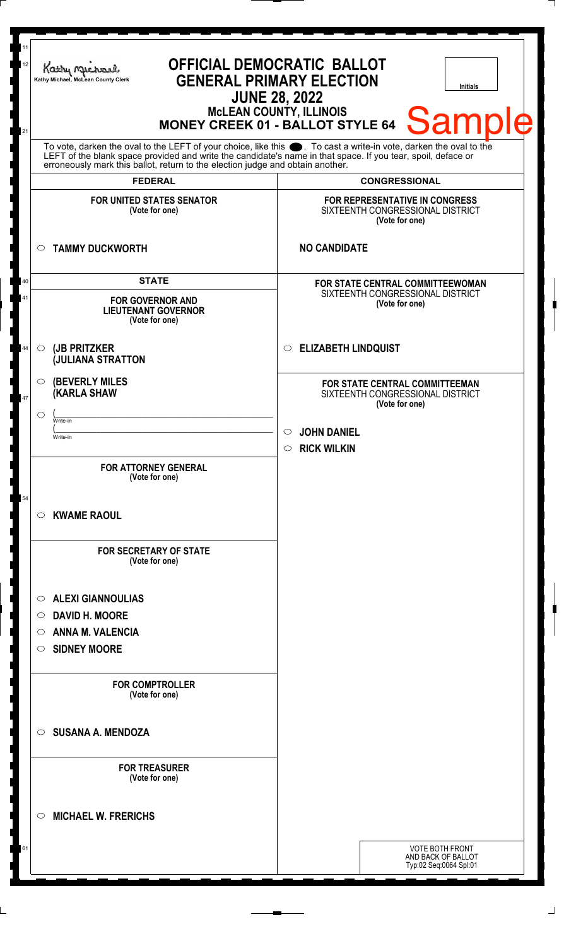| 11<br><b>OFFICIAL DEMOCRATIC BALLOT</b><br>12<br>Kathy Michael<br><b>GENERAL PRIMARY ELECTION</b><br>Kathy Michael, McLean County Clerk<br><b>Initials</b><br><b>JUNE 28, 2022</b><br>MCLEAN COUNTY, ILLINOIS<br>MONEY CREEK 01 - BALLOT STYLE 64 Sample<br>21<br>To vote, darken the oval to the LEFT of your choice, like this . To cast a write-in vote, darken the oval to the<br>LEFT of the blank space provided and write the candidate's name in that space. If you tear, spoil, deface or<br>erroneously mark this ballot, return to the election judge and obtain another.<br><b>FEDERAL</b><br><b>CONGRESSIONAL</b> |                                                                                                                                                        |  |
|--------------------------------------------------------------------------------------------------------------------------------------------------------------------------------------------------------------------------------------------------------------------------------------------------------------------------------------------------------------------------------------------------------------------------------------------------------------------------------------------------------------------------------------------------------------------------------------------------------------------------------|--------------------------------------------------------------------------------------------------------------------------------------------------------|--|
|                                                                                                                                                                                                                                                                                                                                                                                                                                                                                                                                                                                                                                |                                                                                                                                                        |  |
| <b>TAMMY DUCKWORTH</b><br>$\circ$                                                                                                                                                                                                                                                                                                                                                                                                                                                                                                                                                                                              | <b>NO CANDIDATE</b>                                                                                                                                    |  |
| <b>STATE</b><br>40<br>41<br><b>FOR GOVERNOR AND</b><br><b>LIEUTENANT GOVERNOR</b><br>(Vote for one)                                                                                                                                                                                                                                                                                                                                                                                                                                                                                                                            | <b>FOR STATE CENTRAL COMMITTEEWOMAN</b><br>SIXTEENTH CONGRESSIONAL DISTRICT<br>(Vote for one)                                                          |  |
| (JB PRITZKER<br>44<br>$\circ$<br><b>JULIANA STRATTON</b>                                                                                                                                                                                                                                                                                                                                                                                                                                                                                                                                                                       | <b>ELIZABETH LINDQUIST</b><br>$\circ$                                                                                                                  |  |
| <b>(BEVERLY MILES)</b><br>O<br><b>(KARLA SHAW</b><br>47<br>◯<br>Write-in<br>Write-in                                                                                                                                                                                                                                                                                                                                                                                                                                                                                                                                           | FOR STATE CENTRAL COMMITTEEMAN<br>SIXTEENTH CONGRESSIONAL DISTRICT<br>(Vote for one)<br><b>JOHN DANIEL</b><br>$\circ$<br><b>RICK WILKIN</b><br>$\circ$ |  |
| <b>FOR ATTORNEY GENERAL</b><br>(Vote for one)<br>54<br><b>KWAME RAOUL</b><br>O                                                                                                                                                                                                                                                                                                                                                                                                                                                                                                                                                 |                                                                                                                                                        |  |
| <b>FOR SECRETARY OF STATE</b><br>(Vote for one)                                                                                                                                                                                                                                                                                                                                                                                                                                                                                                                                                                                |                                                                                                                                                        |  |
| <b>ALEXI GIANNOULIAS</b><br>$\circ$<br><b>DAVID H. MOORE</b><br>O<br><b>ANNA M. VALENCIA</b><br>O<br><b>SIDNEY MOORE</b><br>O                                                                                                                                                                                                                                                                                                                                                                                                                                                                                                  |                                                                                                                                                        |  |
| <b>FOR COMPTROLLER</b><br>(Vote for one)                                                                                                                                                                                                                                                                                                                                                                                                                                                                                                                                                                                       |                                                                                                                                                        |  |
| <b>SUSANA A. MENDOZA</b><br>O                                                                                                                                                                                                                                                                                                                                                                                                                                                                                                                                                                                                  |                                                                                                                                                        |  |
| <b>FOR TREASURER</b><br>(Vote for one)                                                                                                                                                                                                                                                                                                                                                                                                                                                                                                                                                                                         |                                                                                                                                                        |  |
| <b>MICHAEL W. FRERICHS</b><br>◯                                                                                                                                                                                                                                                                                                                                                                                                                                                                                                                                                                                                |                                                                                                                                                        |  |
|                                                                                                                                                                                                                                                                                                                                                                                                                                                                                                                                                                                                                                | <b>VOTE BOTH FRONT</b><br>AND BACK OF BALLOT<br>Typ:02 Seq:0064 Spl:01                                                                                 |  |